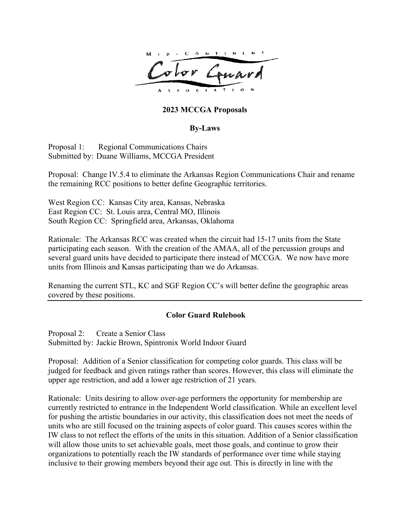

## **2023 MCCGA Proposals**

## **By-Laws**

Proposal 1: Regional Communications Chairs Submitted by: Duane Williams, MCCGA President

Proposal: Change IV.5.4 to eliminate the Arkansas Region Communications Chair and rename the remaining RCC positions to better define Geographic territories.

West Region CC: Kansas City area, Kansas, Nebraska East Region CC: St. Louis area, Central MO, Illinois South Region CC: Springfield area, Arkansas, Oklahoma

Rationale: The Arkansas RCC was created when the circuit had 15-17 units from the State participating each season. With the creation of the AMAA, all of the percussion groups and several guard units have decided to participate there instead of MCCGA. We now have more units from Illinois and Kansas participating than we do Arkansas.

Renaming the current STL, KC and SGF Region CC's will better define the geographic areas covered by these positions.

## **Color Guard Rulebook**

Proposal 2: Create a Senior Class Submitted by: Jackie Brown, Spintronix World Indoor Guard

Proposal: Addition of a Senior classification for competing color guards. This class will be judged for feedback and given ratings rather than scores. However, this class will eliminate the upper age restriction, and add a lower age restriction of 21 years.

Rationale: Units desiring to allow over-age performers the opportunity for membership are currently restricted to entrance in the Independent World classification. While an excellent level for pushing the artistic boundaries in our activity, this classification does not meet the needs of units who are still focused on the training aspects of color guard. This causes scores within the IW class to not reflect the efforts of the units in this situation. Addition of a Senior classification will allow those units to set achievable goals, meet those goals, and continue to grow their organizations to potentially reach the IW standards of performance over time while staying inclusive to their growing members beyond their age out. This is directly in line with the